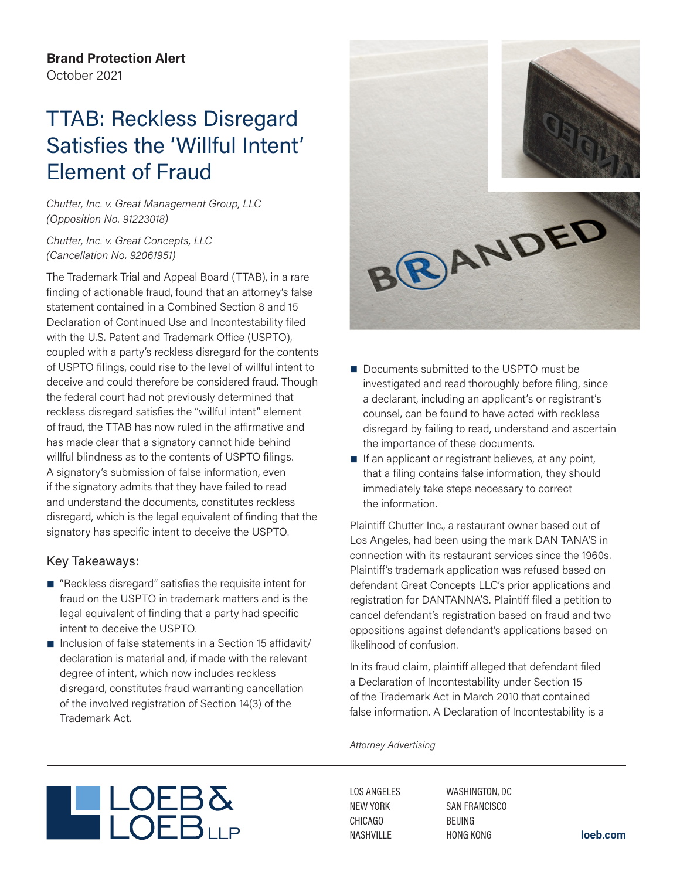**Brand Protection Alert** October 2021

## TTAB: Reckless Disregard Satisfies the 'Willful Intent' Element of Fraud

*Chutter, Inc. v. Great Management Group, LLC (Opposition No. 91223018)*

*Chutter, Inc. v. Great Concepts, LLC (Cancellation No. 92061951)*

The Trademark Trial and Appeal Board (TTAB), in a rare finding of actionable fraud, found that an attorney's false statement contained in a Combined Section 8 and 15 Declaration of Continued Use and Incontestability filed with the U.S. Patent and Trademark Office (USPTO), coupled with a party's reckless disregard for the contents of USPTO filings, could rise to the level of willful intent to deceive and could therefore be considered fraud. Though the federal court had not previously determined that reckless disregard satisfies the "willful intent" element of fraud, the TTAB has now ruled in the affirmative and has made clear that a signatory cannot hide behind willful blindness as to the contents of USPTO filings. A signatory's submission of false information, even if the signatory admits that they have failed to read and understand the documents, constitutes reckless disregard, which is the legal equivalent of finding that the signatory has specific intent to deceive the USPTO.

## Key Takeaways:

- "Reckless disregard" satisfies the requisite intent for fraud on the USPTO in trademark matters and is the legal equivalent of finding that a party had specific intent to deceive the USPTO.
- Inclusion of false statements in a Section 15 affidavit/ declaration is material and, if made with the relevant degree of intent, which now includes reckless disregard, constitutes fraud warranting cancellation of the involved registration of Section 14(3) of the Trademark Act.



- Documents submitted to the USPTO must be investigated and read thoroughly before filing, since a declarant, including an applicant's or registrant's counsel, can be found to have acted with reckless disregard by failing to read, understand and ascertain the importance of these documents.
- If an applicant or registrant believes, at any point, that a filing contains false information, they should immediately take steps necessary to correct the information.

Plaintiff Chutter Inc., a restaurant owner based out of Los Angeles, had been using the mark DAN TANA'S in connection with its restaurant services since the 1960s. Plaintiff's trademark application was refused based on defendant Great Concepts LLC's prior applications and registration for DANTANNA'S. Plaintiff filed a petition to cancel defendant's registration based on fraud and two oppositions against defendant's applications based on likelihood of confusion.

In its fraud claim, plaintiff alleged that defendant filed a Declaration of Incontestability under Section 15 of the Trademark Act in March 2010 that contained false information. A Declaration of Incontestability is a

*Attorney Advertising*



LOS ANGELES NEW YORK CHICAGO NASHVILLE

WASHINGTON, DC SAN FRANCISCO BEIJING HONG KONG **loeb.com**